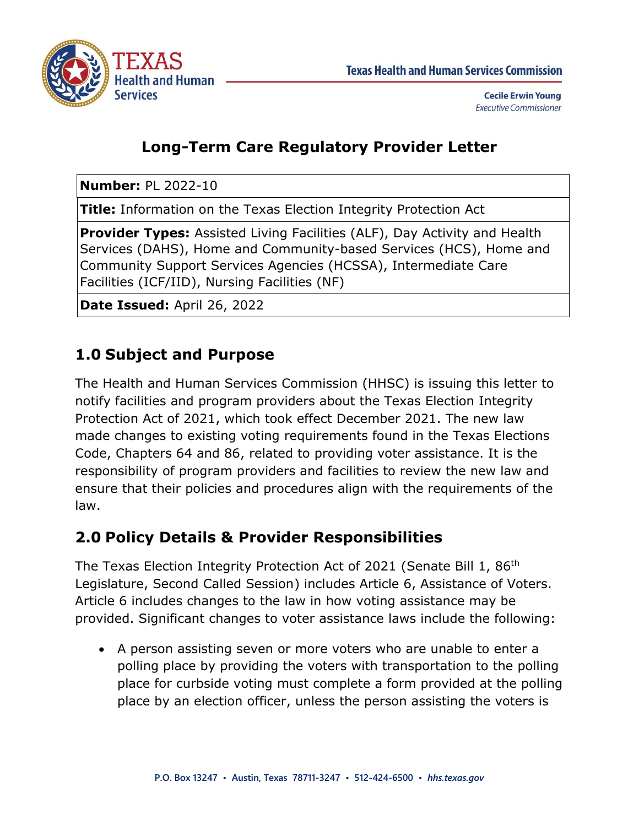



**Cecile Erwin Young Executive Commissioner** 

## **Long-Term Care Regulatory Provider Letter**

**Number:** PL 2022-10

**Title:** Information on the Texas Election Integrity Protection Act

**Provider Types:** Assisted Living Facilities (ALF), Day Activity and Health Services (DAHS), Home and Community-based Services (HCS), Home and Community Support Services Agencies (HCSSA), Intermediate Care Facilities (ICF/IID), Nursing Facilities (NF)

**Date Issued:** April 26, 2022

## **1.0 Subject and Purpose**

The Health and Human Services Commission (HHSC) is issuing this letter to notify facilities and program providers about the Texas Election Integrity Protection Act of 2021, which took effect December 2021. The new law made changes to existing voting requirements found in the Texas Elections Code, Chapters 64 and 86, related to providing voter assistance. It is the responsibility of program providers and facilities to review the new law and ensure that their policies and procedures align with the requirements of the law.

### **2.0 Policy Details & Provider Responsibilities**

The Texas Election Integrity Protection Act of 2021 (Senate Bill 1, 86th Legislature, Second Called Session) includes Article 6, Assistance of Voters. Article 6 includes changes to the law in how voting assistance may be provided. Significant changes to voter assistance laws include the following:

• A person assisting seven or more voters who are unable to enter a polling place by providing the voters with transportation to the polling place for curbside voting must complete a form provided at the polling place by an election officer, unless the person assisting the voters is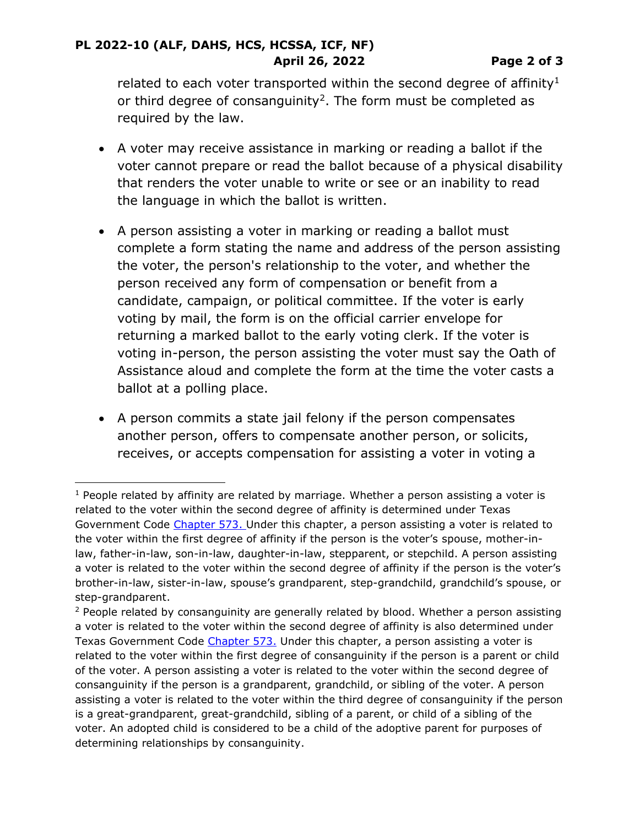#### **PL 2022-10 (ALF, DAHS, HCS, HCSSA, ICF, NF) April 26, 2022 Page 2 of 3**

related to each voter transported within the second degree of affinity<sup>1</sup> or third degree of consanguinity<sup>2</sup>. The form must be completed as required by the law.

- A voter may receive assistance in marking or reading a ballot if the voter cannot prepare or read the ballot because of a physical disability that renders the voter unable to write or see or an inability to read the language in which the ballot is written.
- A person assisting a voter in marking or reading a ballot must complete a form stating the name and address of the person assisting the voter, the person's relationship to the voter, and whether the person received any form of compensation or benefit from a candidate, campaign, or political committee. If the voter is early voting by mail, the form is on the official carrier envelope for returning a marked ballot to the early voting clerk. If the voter is voting in-person, the person assisting the voter must say the Oath of Assistance aloud and complete the form at the time the voter casts a ballot at a polling place.
- A person commits a state jail felony if the person compensates another person, offers to compensate another person, or solicits, receives, or accepts compensation for assisting a voter in voting a

 $1$  People related by affinity are related by marriage. Whether a person assisting a voter is related to the voter within the second degree of affinity is determined under Texas Government Code [Chapter 573.](https://statutes.capitol.texas.gov/Docs/GV/htm/GV.573.htm#573) Under this chapter, a person assisting a voter is related to the voter within the first degree of affinity if the person is the voter's spouse, mother-inlaw, father-in-law, son-in-law, daughter-in-law, stepparent, or stepchild. A person assisting a voter is related to the voter within the second degree of affinity if the person is the voter's brother-in-law, sister-in-law, spouse's grandparent, step-grandchild, grandchild's spouse, or step-grandparent.

 $2$  People related by consanguinity are generally related by blood. Whether a person assisting a voter is related to the voter within the second degree of affinity is also determined under Texas Government Code [Chapter 573.](https://statutes.capitol.texas.gov/Docs/GV/htm/GV.573.htm#573) Under this chapter, a person assisting a voter is related to the voter within the first degree of consanguinity if the person is a parent or child of the voter. A person assisting a voter is related to the voter within the second degree of consanguinity if the person is a grandparent, grandchild, or sibling of the voter. A person assisting a voter is related to the voter within the third degree of consanguinity if the person is a great-grandparent, great-grandchild, sibling of a parent, or child of a sibling of the voter. An adopted child is considered to be a child of the adoptive parent for purposes of determining relationships by consanguinity.